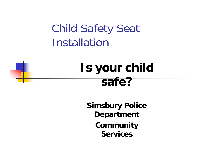Child Safety Seat **Installation** 

# **Is your child safe?**

**Simsbury Police Department Community Services**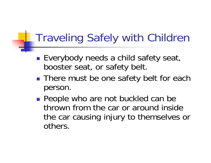## Traveling Safely with Children

- $\mathbb{R}^n$ ■ Everybody needs a child safety seat, booster seat, or safety belt.
- $\mathbb{R}^3$ **There must be one safety belt for each** person.
- $\mathbb{R}^3$ **People who are not buckled can be** thrown from the car or around inside the car causing injury to themselves or others.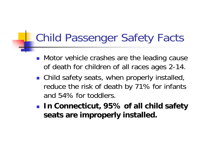### Child Passenger Safety Facts

- **Notor vehicle crashes are the leading cause** of death for children of all races ages 2-14.
- Child safety seats, when properly installed, reduce the risk of death by 71% for infants and 54% for toddlers.
- **In Connecticut, 95% of all child safety seats are improperly installed.**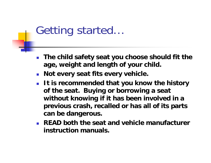#### Getting started…

- $\overline{\phantom{a}}$  **The child safety seat you choose should fit the age, weight and length of your child.**
- **Not every seat fits every vehicle.**
- **It is recommended that you know the history of the seat. Buying or borrowing a seat without knowing if it has been involved in a previous crash, recalled or has all of its parts can be dangerous.**
- **READ both the seat and vehicle manufacturer instruction manuals.**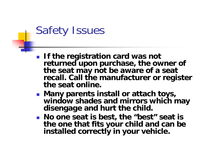#### Safety Issues

- **If the registration card was not returned upon purchase, the owner of the seat may not be aware of a seat recall. Call the manufacturer or register the seat online.**
- **Many parents install or attach toys, window shades and mirrors which may disengage and hurt the child.**
- **No one seat is best, the "best" seat is the one that fits your child and can be installed correctly in your vehicle.**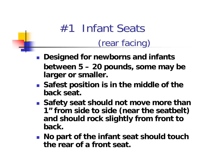# #1 Infant Seats(rear facing)

- **Designed for newborns and infants between 5 – 20 pounds, some may be larger or smaller.**
- **Safest position is in the middle of the back seat.**
- **Safety seat should not move more than 1" from side to side (near the seatbelt) and should rock slightly from front to back.**
- **No part of the infant seat should touch the rear of a front seat.**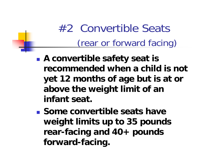# #2 Convertible Seats(rear or forward facing)

- $\mathbb{R}^3$  **A convertible safety seat is recommended when a child is not yet 12 months of age but is at or above the weight limit of an infant seat.**
- **Some convertible seats have weight limits up to 35 pounds rear-facing and 40+ pounds forward-facing.**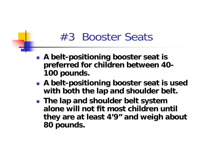#### #3 Booster Seats

- **A belt-positioning booster seat is preferred for children between 40- 100 pounds.**
- **A belt-positioning booster seat is used with both the lap and shoulder belt.**
- **The lap and shoulder belt system alone will not fit most children until they are at least 4'9" and weigh about 80 pounds.**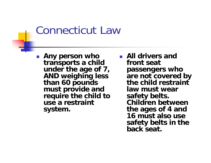#### Connecticut Law

F. **Any person who transports a child under the age of 7, AND weighing less than 60 pounds must provide and require the child to use a restraint system.** 

 **All drivers and front seat passengers who are not covered by the child restraint law must wear safety belts. Children between the ages of 4 and 16 must also use safety belts in the back seat.**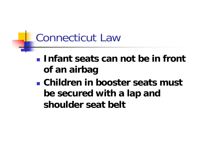## Connecticut Law

- **Infant seats can not be in front of an airbag**
- **Children in booster seats must be secured with a lap and shoulder seat belt**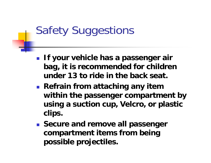# Safety Suggestions

- **If your vehicle has a passenger air bag, it is recommended for children under 13 to ride in the back seat.**
- **Refrain from attaching any item within the passenger compartment by using a suction cup, Velcro, or plastic clips.**
- **Secure and remove all passenger compartment items from being possible projectiles.**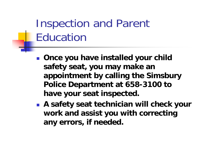# Inspection and Parent Education

- **Once you have installed your child safety seat, you may make an appointment by calling the Simsbury Police Department at 658-3100 to have your seat inspected.**
- **A safety seat technician will check your work and assist you with correcting any errors, if needed.**